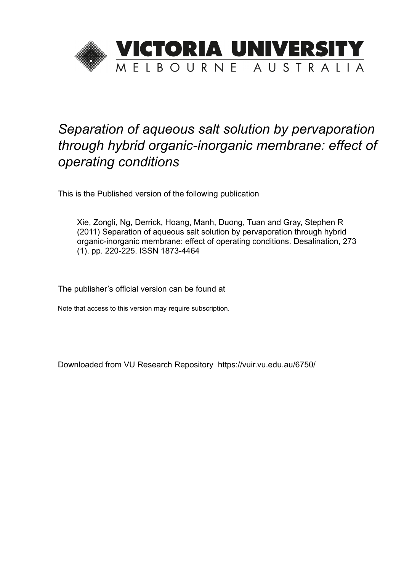

# *Separation of aqueous salt solution by pervaporation through hybrid organic-inorganic membrane: effect of operating conditions*

This is the Published version of the following publication

Xie, Zongli, Ng, Derrick, Hoang, Manh, Duong, Tuan and Gray, Stephen R (2011) Separation of aqueous salt solution by pervaporation through hybrid organic-inorganic membrane: effect of operating conditions. Desalination, 273 (1). pp. 220-225. ISSN 1873-4464

The publisher's official version can be found at

Note that access to this version may require subscription.

Downloaded from VU Research Repository https://vuir.vu.edu.au/6750/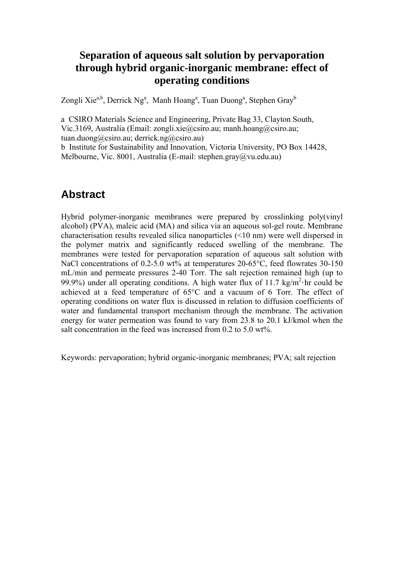### **Separation of aqueous salt solution by pervaporation through hybrid organic-inorganic membrane: effect of operating conditions**

Zongli Xie<sup>a,b</sup>, Derrick Ng<sup>a</sup>, Manh Hoang<sup>a</sup>, Tuan Duong<sup>a</sup>, Stephen Gray<sup>b</sup>

a CSIRO Materials Science and Engineering, Private Bag 33, Clayton South, Vic.3169, Australia (Email: zongli.xie@csiro.au; manh.hoang@csiro.au; tuan.duong@csiro.au; derrick.ng@csiro.au)

b Institute for Sustainability and Innovation, Victoria University, PO Box 14428, Melbourne, Vic. 8001, Australia (E-mail: stephen.gray@vu.edu.au)

## **Abstract**

Hybrid polymer-inorganic membranes were prepared by crosslinking poly(vinyl alcohol) (PVA), maleic acid (MA) and silica via an aqueous sol-gel route. Membrane characterisation results revealed silica nanoparticles (<10 nm) were well dispersed in the polymer matrix and significantly reduced swelling of the membrane. The membranes were tested for pervaporation separation of aqueous salt solution with NaCl concentrations of 0.2-5.0 wt% at temperatures 20-65 °C, feed flowrates 30-150 mL/min and permeate pressures 2-40 Torr. The salt rejection remained high (up to 99.9%) under all operating conditions. A high water flux of 11.7 kg/m<sup>2</sup> hr could be achieved at a feed temperature of 65°C and a vacuum of 6 Torr. The effect of operating conditions on water flux is discussed in relation to diffusion coefficients of water and fundamental transport mechanism through the membrane. The activation energy for water permeation was found to vary from 23.8 to 20.1 kJ/kmol when the salt concentration in the feed was increased from 0.2 to 5.0 wt%.

Keywords: pervaporation; hybrid organic-inorganic membranes; PVA; salt rejection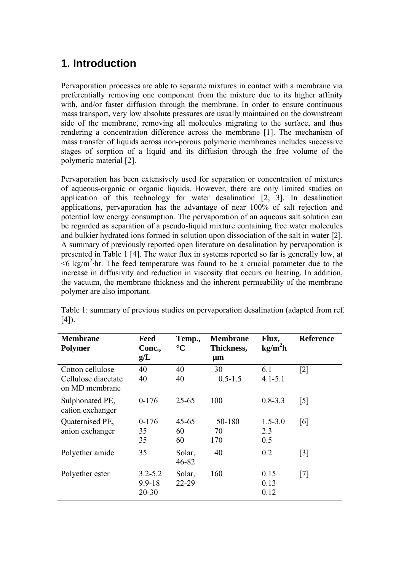## **1. Introduction**

Pervaporation processes are able to separate mixtures in contact with a membrane via preferentially removing one component from the mixture due to its higher affinity with, and/or faster diffusion through the membrane. In order to ensure continuous mass transport, very low absolute pressures are usually maintained on the downstream side of the membrane, removing all molecules migrating to the surface, and thus rendering a concentration difference across the membrane [1]. The mechanism of mass transfer of liquids across non-porous polymeric membranes includes successive stages of sorption of a liquid and its diffusion through the free volume of the polymeric material [2].

Pervaporation has been extensively used for separation or concentration of mixtures of aqueous-organic or organic liquids. However, there are only limited studies on application of this technology for water desalination [2, 3]. In desalination applications, pervaporation has the advantage of near 100% of salt rejection and potential low energy consumption. The pervaporation of an aqueous salt solution can be regarded as separation of a pseudo-liquid mixture containing free water molecules and bulkier hydrated ions formed in solution upon dissociation of the salt in water [2]. A summary of previously reported open literature on desalination by pervaporation is presented in Table 1 [4]. The water flux in systems reported so far is generally low, at  $\leq$ 6 kg/m<sup>2</sup>·hr. The feed temperature was found to be a crucial parameter due to the increase in diffusivity and reduction in viscosity that occurs on heating. In addition, the vacuum, the membrane thickness and the inherent permeability of the membrane polymer are also important.

| <b>Membrane</b><br><b>Polymer</b>                         | Feed<br>Conc.,<br>g/L                  | Temp.,<br>$\rm ^{\circ}C$ | <b>Membrane</b><br>Thickness,<br>$\mu$ m | Flux,<br>kg/m <sup>2</sup> h | <b>Reference</b>  |
|-----------------------------------------------------------|----------------------------------------|---------------------------|------------------------------------------|------------------------------|-------------------|
| Cotton cellulose<br>Cellulose diacetate<br>on MD membrane | 40<br>40                               | 40<br>40                  | 30<br>$0.5 - 1.5$                        | 6.1<br>$4.1 - 5.1$           | $\lceil 2 \rceil$ |
| Sulphonated PE,<br>cation exchanger                       | $0-176$                                | 25-65                     | 100                                      | $0.8 - 3.3$                  | $\lceil 5 \rceil$ |
| Quaternised PE,<br>anion exchanger                        | $0-176$<br>35<br>35                    | $45 - 65$<br>60<br>60     | 50-180<br>70<br>170                      | $1.5 - 3.0$<br>2.3<br>0.5    | [6]               |
| Polyether amide                                           | 35                                     | Solar,<br>46-82           | 40                                       | 0.2                          | $\lceil 3 \rceil$ |
| Polyether ester                                           | $3.2 - 5.2$<br>$9.9 - 18$<br>$20 - 30$ | Solar,<br>22-29           | 160                                      | 0.15<br>0.13<br>0.12         | $\lceil 7 \rceil$ |

Table 1: summary of previous studies on pervaporation desalination (adapted from ref. [4]).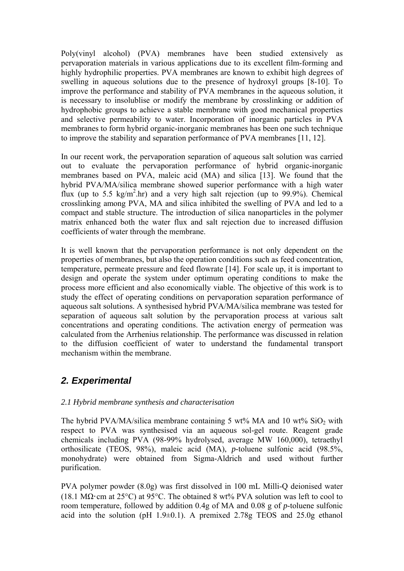Poly(vinyl alcohol) (PVA) membranes have been studied extensively as pervaporation materials in various applications due to its excellent film-forming and highly hydrophilic properties. PVA membranes are known to exhibit high degrees of swelling in aqueous solutions due to the presence of hydroxyl groups [8-10]. To improve the performance and stability of PVA membranes in the aqueous solution, it is necessary to insolublise or modify the membrane by crosslinking or addition of hydrophobic groups to achieve a stable membrane with good mechanical properties and selective permeability to water. Incorporation of inorganic particles in PVA membranes to form hybrid organic-inorganic membranes has been one such technique to improve the stability and separation performance of PVA membranes [11, 12].

In our recent work, the pervaporation separation of aqueous salt solution was carried out to evaluate the pervaporation performance of hybrid organic-inorganic membranes based on PVA, maleic acid (MA) and silica [13]. We found that the hybrid PVA/MA/silica membrane showed superior performance with a high water flux (up to 5.5 kg/m<sup>2</sup>.hr) and a very high salt rejection (up to 99.9%). Chemical crosslinking among PVA, MA and silica inhibited the swelling of PVA and led to a compact and stable structure. The introduction of silica nanoparticles in the polymer matrix enhanced both the water flux and salt rejection due to increased diffusion coefficients of water through the membrane.

It is well known that the pervaporation performance is not only dependent on the properties of membranes, but also the operation conditions such as feed concentration, temperature, permeate pressure and feed flowrate [14]. For scale up, it is important to design and operate the system under optimum operating conditions to make the process more efficient and also economically viable. The objective of this work is to study the effect of operating conditions on pervaporation separation performance of aqueous salt solutions. A synthesised hybrid PVA/MA/silica membrane was tested for separation of aqueous salt solution by the pervaporation process at various salt concentrations and operating conditions. The activation energy of permeation was calculated from the Arrhenius relationship. The performance was discussed in relation to the diffusion coefficient of water to understand the fundamental transport mechanism within the membrane.

### *2. Experimental*

#### *2.1 Hybrid membrane synthesis and characterisation*

The hybrid PVA/MA/silica membrane containing 5 wt% MA and 10 wt%  $SiO<sub>2</sub>$  with respect to PVA was synthesised via an aqueous sol-gel route. Reagent grade chemicals including PVA (98-99% hydrolysed, average MW 160,000), tetraethyl orthosilicate (TEOS, 98%), maleic acid (MA), *p*-toluene sulfonic acid (98.5%, monohydrate) were obtained from Sigma-Aldrich and used without further purification.

PVA polymer powder (8.0g) was first dissolved in 100 mL Milli-Q deionised water (18.1 M $\Omega$ ·cm at 25°C) at 95°C. The obtained 8 wt% PVA solution was left to cool to room temperature, followed by addition 0.4g of MA and 0.08 g of *p*-toluene sulfonic acid into the solution (pH  $1.9\pm0.1$ ). A premixed 2.78g TEOS and 25.0g ethanol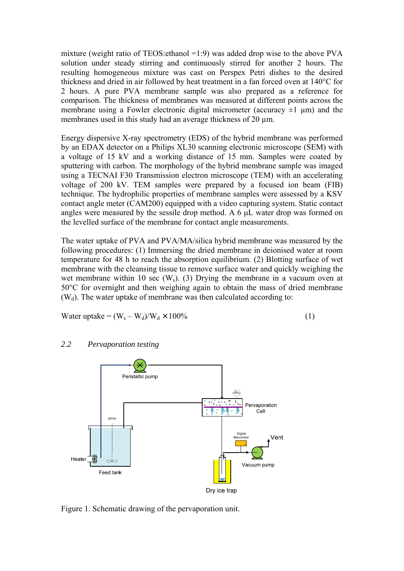mixture (weight ratio of TEOS: ethanol  $=1:9$ ) was added drop wise to the above PVA solution under steady stirring and continuously stirred for another 2 hours. The resulting homogeneous mixture was cast on Perspex Petri dishes to the desired thickness and dried in air followed by heat treatment in a fan forced oven at 140°C for 2 hours. A pure PVA membrane sample was also prepared as a reference for comparison. The thickness of membranes was measured at different points across the membrane using a Fowler electronic digital micrometer (accuracy  $\pm 1$  µm) and the membranes used in this study had an average thickness of 20  $\mu$ m.

Energy dispersive X-ray spectrometry (EDS) of the hybrid membrane was performed by an EDAX detector on a Philips XL30 scanning electronic microscope (SEM) with a voltage of 15 kV and a working distance of 15 mm. Samples were coated by sputtering with carbon. The morphology of the hybrid membrane sample was imaged using a TECNAI F30 Transmission electron microscope (TEM) with an accelerating voltage of 200 kV. TEM samples were prepared by a focused ion beam (FIB) technique. The hydrophilic properties of membrane samples were assessed by a KSV contact angle meter (CAM200) equipped with a video capturing system. Static contact angles were measured by the sessile drop method. A 6 μL water drop was formed on the levelled surface of the membrane for contact angle measurements.

The water uptake of PVA and PVA/MA/silica hybrid membrane was measured by the following procedures: (1) Immersing the dried membrane in deionised water at room temperature for 48 h to reach the absorption equilibrium. (2) Blotting surface of wet membrane with the cleansing tissue to remove surface water and quickly weighing the wet membrane within 10 sec  $(W_s)$ . (3) Drying the membrane in a vacuum oven at 50°C for overnight and then weighing again to obtain the mass of dried membrane  $(W_d)$ . The water uptake of membrane was then calculated according to:

Water uptake = 
$$
(W_s - W_d)/W_d \times 100\%
$$
 (1)

#### *2.2 Pervaporation testing*



Figure 1. Schematic drawing of the pervaporation unit.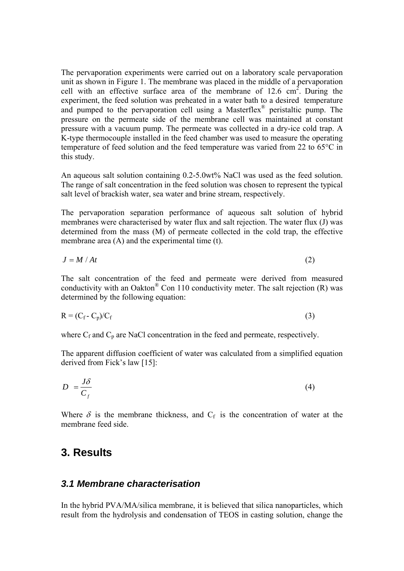The pervaporation experiments were carried out on a laboratory scale pervaporation unit as shown in Figure 1. The membrane was placed in the middle of a pervaporation cell with an effective surface area of the membrane of  $12.6 \text{ cm}^2$ . During the experiment, the feed solution was preheated in a water bath to a desired temperature and pumped to the pervaporation cell using a Masterflex® peristaltic pump. The pressure on the permeate side of the membrane cell was maintained at constant pressure with a vacuum pump. The permeate was collected in a dry-ice cold trap. A K-type thermocouple installed in the feed chamber was used to measure the operating temperature of feed solution and the feed temperature was varied from 22 to 65°C in this study.

An aqueous salt solution containing 0.2-5.0wt% NaCl was used as the feed solution. The range of salt concentration in the feed solution was chosen to represent the typical salt level of brackish water, sea water and brine stream, respectively.

The pervaporation separation performance of aqueous salt solution of hybrid membranes were characterised by water flux and salt rejection. The water flux (J) was determined from the mass (M) of permeate collected in the cold trap, the effective membrane area (A) and the experimental time (t).

$$
J = M / At \tag{2}
$$

The salt concentration of the feed and permeate were derived from measured conductivity with an Oakton $^{\circ}$  Con 110 conductivity meter. The salt rejection (R) was determined by the following equation:

$$
R = (C_f - C_p)/C_f \tag{3}
$$

where  $C_f$  and  $C_p$  are NaCl concentration in the feed and permeate, respectively.

The apparent diffusion coefficient of water was calculated from a simplified equation derived from Fick's law [15]:

$$
D = \frac{J\delta}{C_f} \tag{4}
$$

Where  $\delta$  is the membrane thickness, and  $C_f$  is the concentration of water at the membrane feed side.

#### **3. Results**

#### *3.1 Membrane characterisation*

In the hybrid PVA/MA/silica membrane, it is believed that silica nanoparticles, which result from the hydrolysis and condensation of TEOS in casting solution, change the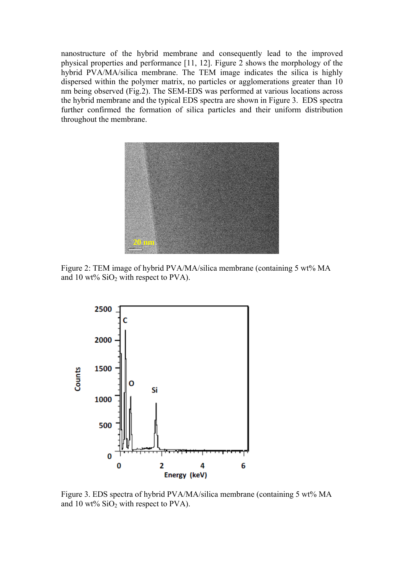nanostructure of the hybrid membrane and consequently lead to the improved physical properties and performance [11, 12]. Figure 2 shows the morphology of the hybrid PVA/MA/silica membrane. The TEM image indicates the silica is highly dispersed within the polymer matrix, no particles or agglomerations greater than 10 nm being observed (Fig.2). The SEM-EDS was performed at various locations across the hybrid membrane and the typical EDS spectra are shown in Figure 3. EDS spectra further confirmed the formation of silica particles and their uniform distribution throughout the membrane.



Figure 2: TEM image of hybrid PVA/MA/silica membrane (containing 5 wt% MA and 10 wt%  $SiO<sub>2</sub>$  with respect to PVA).



Figure 3. EDS spectra of hybrid PVA/MA/silica membrane (containing 5 wt% MA and 10 wt%  $SiO<sub>2</sub>$  with respect to PVA).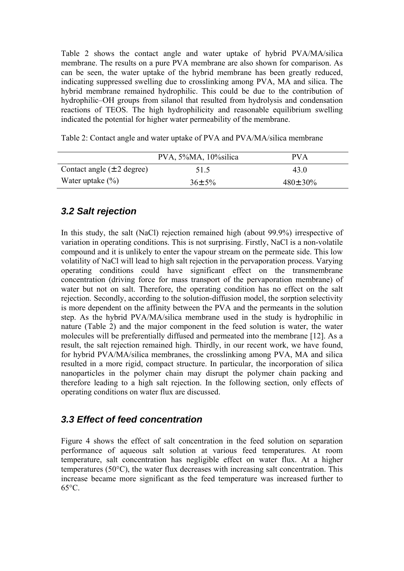Table 2 shows the contact angle and water uptake of hybrid PVA/MA/silica membrane. The results on a pure PVA membrane are also shown for comparison. As can be seen, the water uptake of the hybrid membrane has been greatly reduced, indicating suppressed swelling due to crosslinking among PVA, MA and silica. The hybrid membrane remained hydrophilic. This could be due to the contribution of hydrophilic–OH groups from silanol that resulted from hydrolysis and condensation reactions of TEOS. The high hydrophilicity and reasonable equilibrium swelling indicated the potential for higher water permeability of the membrane.

Table 2: Contact angle and water uptake of PVA and PVA/MA/silica membrane

|                                | PVA, 5%MA, 10% silica | PV A           |
|--------------------------------|-----------------------|----------------|
| Contact angle $(\pm 2$ degree) | 51.5                  | 43.0           |
| Water uptake $(\% )$           | $36 \pm 5\%$          | $480 \pm 30\%$ |

### *3.2 Salt rejection*

In this study, the salt (NaCl) rejection remained high (about 99.9%) irrespective of variation in operating conditions. This is not surprising. Firstly, NaCl is a non-volatile compound and it is unlikely to enter the vapour stream on the permeate side. This low volatility of NaCl will lead to high salt rejection in the pervaporation process. Varying operating conditions could have significant effect on the transmembrane concentration (driving force for mass transport of the pervaporation membrane) of water but not on salt. Therefore, the operating condition has no effect on the salt rejection. Secondly, according to the solution-diffusion model, the sorption selectivity is more dependent on the affinity between the PVA and the permeants in the solution step. As the hybrid PVA/MA/silica membrane used in the study is hydrophilic in nature (Table 2) and the major component in the feed solution is water, the water molecules will be preferentially diffused and permeated into the membrane [12]. As a result, the salt rejection remained high. Thirdly, in our recent work, we have found, for hybrid PVA/MA/silica membranes, the crosslinking among PVA, MA and silica resulted in a more rigid, compact structure. In particular, the incorporation of silica nanoparticles in the polymer chain may disrupt the polymer chain packing and therefore leading to a high salt rejection. In the following section, only effects of operating conditions on water flux are discussed.

### *3.3 Effect of feed concentration*

Figure 4 shows the effect of salt concentration in the feed solution on separation performance of aqueous salt solution at various feed temperatures. At room temperature, salt concentration has negligible effect on water flux. At a higher temperatures (50°C), the water flux decreases with increasing salt concentration. This increase became more significant as the feed temperature was increased further to 65°C.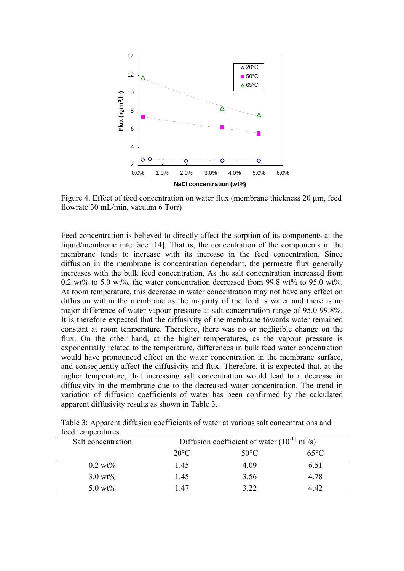

Figure 4. Effect of feed concentration on water flux (membrane thickness 20  $\mu$ m, feed flowrate 30 mL/min, vacuum 6 Torr)

Feed concentration is believed to directly affect the sorption of its components at the liquid/membrane interface [14]. That is, the concentration of the components in the membrane tends to increase with its increase in the feed concentration. Since diffusion in the membrane is concentration dependant, the permeate flux generally increases with the bulk feed concentration. As the salt concentration increased from 0.2 wt% to 5.0 wt%, the water concentration decreased from 99.8 wt% to 95.0 wt%. At room temperature, this decrease in water concentration may not have any effect on diffusion within the membrane as the majority of the feed is water and there is no major difference of water vapour pressure at salt concentration range of 95.0-99.8%. It is therefore expected that the diffusivity of the membrane towards water remained constant at room temperature. Therefore, there was no or negligible change on the flux. On the other hand, at the higher temperatures, as the vapour pressure is exponentially related to the temperature, differences in bulk feed water concentration would have pronounced effect on the water concentration in the membrane surface, and consequently affect the diffusivity and flux. Therefore, it is expected that, at the higher temperature, that increasing salt concentration would lead to a decrease in diffusivity in the membrane due to the decreased water concentration. The trend in variation of diffusion coefficients of water has been confirmed by the calculated apparent diffusivity results as shown in Table 3.

| <u>ioon</u> tomporaturos.<br>Salt concentration | Diffusion coefficient of water $(10^{-11} \text{ m}^2/\text{s})$ |                |                |  |
|-------------------------------------------------|------------------------------------------------------------------|----------------|----------------|--|
|                                                 | $20^{\circ}$ C                                                   | $50^{\circ}$ C | $65^{\circ}$ C |  |
| $0.2~\rm{wt\%}$                                 | 1.45                                                             | 4.09           | 6.51           |  |
| $3.0 \text{ wt\%}$                              | 1.45                                                             | 3.56           | 4.78           |  |
| 5.0 $wt\%$                                      | 147                                                              | 3.22           | 4.42           |  |

Table 3: Apparent diffusion coefficients of water at various salt concentrations and feed temperatures.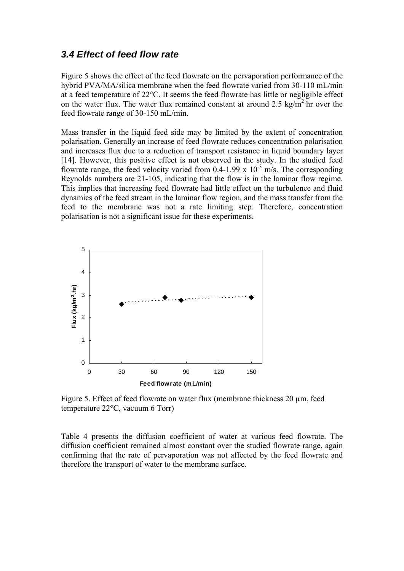#### *3.4 Effect of feed flow rate*

Figure 5 shows the effect of the feed flowrate on the pervaporation performance of the hybrid PVA/MA/silica membrane when the feed flowrate varied from 30-110 mL/min at a feed temperature of 22°C. It seems the feed flowrate has little or negligible effect on the water flux. The water flux remained constant at around  $2.5 \text{ kg/m}^2$  hr over the feed flowrate range of 30-150 mL/min.

Mass transfer in the liquid feed side may be limited by the extent of concentration polarisation. Generally an increase of feed flowrate reduces concentration polarisation and increases flux due to a reduction of transport resistance in liquid boundary layer [14]. However, this positive effect is not observed in the study. In the studied feed flowrate range, the feed velocity varied from  $0.4$ -1.99 x  $10^{-3}$  m/s. The corresponding Reynolds numbers are 21-105, indicating that the flow is in the laminar flow regime. This implies that increasing feed flowrate had little effect on the turbulence and fluid dynamics of the feed stream in the laminar flow region, and the mass transfer from the feed to the membrane was not a rate limiting step. Therefore, concentration polarisation is not a significant issue for these experiments.



Figure 5. Effect of feed flowrate on water flux (membrane thickness 20  $\mu$ m, feed temperature 22°C, vacuum 6 Torr)

Table 4 presents the diffusion coefficient of water at various feed flowrate. The diffusion coefficient remained almost constant over the studied flowrate range, again confirming that the rate of pervaporation was not affected by the feed flowrate and therefore the transport of water to the membrane surface.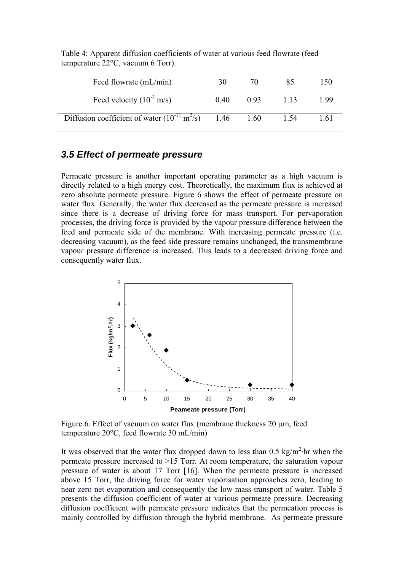| Feed flowrate (mL/min)                                                | 30   |      |       | 150  |
|-----------------------------------------------------------------------|------|------|-------|------|
| Feed velocity $(10^{-3} \text{ m/s})$                                 | 0.40 | 0.93 | 1 1 3 | 199  |
| Diffusion coefficient of water $(10^{-11} \text{ m}^2/\text{s})$ 1.46 |      | 1.60 | 1.54  | 1 61 |

Table 4: Apparent diffusion coefficients of water at various feed flowrate (feed temperature 22°C, vacuum 6 Torr).

#### *3.5 Effect of permeate pressure*

Permeate pressure is another important operating parameter as a high vacuum is directly related to a high energy cost. Theoretically, the maximum flux is achieved at zero absolute permeate pressure. Figure 6 shows the effect of permeate pressure on water flux. Generally, the water flux decreased as the permeate pressure is increased since there is a decrease of driving force for mass transport. For pervaporation processes, the driving force is provided by the vapour pressure difference between the feed and permeate side of the membrane. With increasing permeate pressure (i.e. decreasing vacuum), as the feed side pressure remains unchanged, the transmembrane vapour pressure difference is increased. This leads to a decreased driving force and consequently water flux.



Figure 6. Effect of vacuum on water flux (membrane thickness 20  $\mu$ m, feed temperature 20°C, feed flowrate 30 mL/min)

It was observed that the water flux dropped down to less than  $0.5 \text{ kg/m}^2$  hr when the permeate pressure increased to >15 Torr. At room temperature, the saturation vapour pressure of water is about 17 Torr [16]. When the permeate pressure is increased above 15 Torr, the driving force for water vaporisation approaches zero, leading to near zero net evaporation and consequently the low mass transport of water. Table 5 presents the diffusion coefficient of water at various permeate pressure. Decreasing diffusion coefficient with permeate pressure indicates that the permeation process is mainly controlled by diffusion through the hybrid membrane. As permeate pressure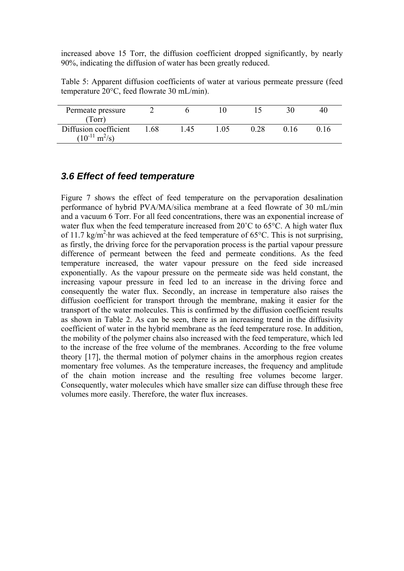increased above 15 Torr, the diffusion coefficient dropped significantly, by nearly 90%, indicating the diffusion of water has been greatly reduced.

Table 5: Apparent diffusion coefficients of water at various permeate pressure (feed temperature 20°C, feed flowrate 30 mL/min).

| Permeate pressure                                          |     |    |    |       | 40 |
|------------------------------------------------------------|-----|----|----|-------|----|
| Torr)                                                      |     |    |    |       |    |
| Diffusion coefficient<br>$(10^{-11} \text{ m}^2/\text{s})$ | -68 | 45 | 05 | () 16 |    |

#### *3.6 Effect of feed temperature*

Figure 7 shows the effect of feed temperature on the pervaporation desalination performance of hybrid PVA/MA/silica membrane at a feed flowrate of 30 mL/min and a vacuum 6 Torr. For all feed concentrations, there was an exponential increase of water flux when the feed temperature increased from 20<sup>°</sup>C to 65<sup>°</sup>C. A high water flux of 11.7 kg/m<sup>2</sup>·hr was achieved at the feed temperature of 65°C. This is not surprising, as firstly, the driving force for the pervaporation process is the partial vapour pressure difference of permeant between the feed and permeate conditions. As the feed temperature increased, the water vapour pressure on the feed side increased exponentially. As the vapour pressure on the permeate side was held constant, the increasing vapour pressure in feed led to an increase in the driving force and consequently the water flux. Secondly, an increase in temperature also raises the diffusion coefficient for transport through the membrane, making it easier for the transport of the water molecules. This is confirmed by the diffusion coefficient results as shown in Table 2. As can be seen, there is an increasing trend in the diffusivity coefficient of water in the hybrid membrane as the feed temperature rose. In addition, the mobility of the polymer chains also increased with the feed temperature, which led to the increase of the free volume of the membranes. According to the free volume theory [17], the thermal motion of polymer chains in the amorphous region creates momentary free volumes. As the temperature increases, the frequency and amplitude of the chain motion increase and the resulting free volumes become larger. Consequently, water molecules which have smaller size can diffuse through these free volumes more easily. Therefore, the water flux increases.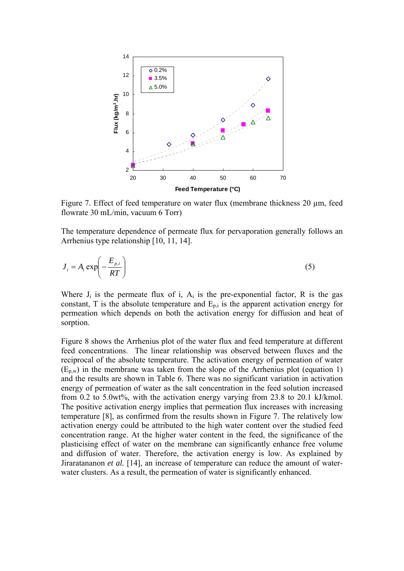

Figure 7. Effect of feed temperature on water flux (membrane thickness 20  $\mu$ m, feed flowrate 30 mL/min, vacuum 6 Torr)

The temperature dependence of permeate flux for pervaporation generally follows an Arrhenius type relationship [10, 11, 14].

$$
J_i = A_i \exp\left(-\frac{E_{p,i}}{RT}\right) \tag{5}
$$

Where  $J_i$  is the permeate flux of i,  $A_i$  is the pre-exponential factor, R is the gas constant, T is the absolute temperature and  $E_{p,i}$  is the apparent activation energy for permeation which depends on both the activation energy for diffusion and heat of sorption.

Figure 8 shows the Arrhenius plot of the water flux and feed temperature at different feed concentrations. The linear relationship was observed between fluxes and the reciprocal of the absolute temperature. The activation energy of permeation of water  $(E_{p,w})$  in the membrane was taken from the slope of the Arrhenius plot (equation 1) and the results are shown in Table 6. There was no significant variation in activation energy of permeation of water as the salt concentration in the feed solution increased from 0.2 to 5.0wt%, with the activation energy varying from 23.8 to 20.1 kJ/kmol. The positive activation energy implies that permeation flux increases with increasing temperature [8], as confirmed from the results shown in Figure 7. The relatively low activation energy could be attributed to the high water content over the studied feed concentration range. At the higher water content in the feed, the significance of the plasticising effect of water on the membrane can significantly enhance free volume and diffusion of water. Therefore, the activation energy is low. As explained by Jiraratananon *et al.* [14], an increase of temperature can reduce the amount of waterwater clusters. As a result, the permeation of water is significantly enhanced.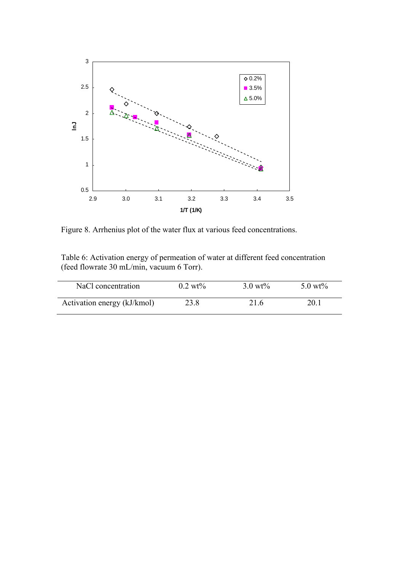

Figure 8. Arrhenius plot of the water flux at various feed concentrations.

Table 6: Activation energy of permeation of water at different feed concentration (feed flowrate 30 mL/min, vacuum 6 Torr).

| NaCl concentration          | $0.2 \text{ wt\%}$ | $3.0 \text{ wt\%}$ | 5.0 wt% |
|-----------------------------|--------------------|--------------------|---------|
| Activation energy (kJ/kmol) | 23.8               | 21.6               | 20.1    |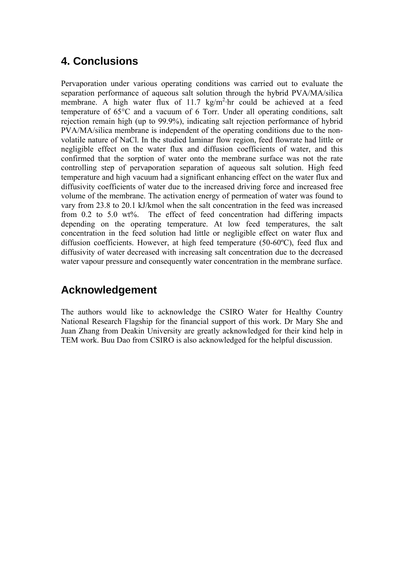## **4. Conclusions**

Pervaporation under various operating conditions was carried out to evaluate the separation performance of aqueous salt solution through the hybrid PVA/MA/silica membrane. A high water flux of 11.7 kg/m<sup>2</sup>·hr could be achieved at a feed temperature of 65°C and a vacuum of 6 Torr. Under all operating conditions, salt rejection remain high (up to 99.9%), indicating salt rejection performance of hybrid PVA/MA/silica membrane is independent of the operating conditions due to the nonvolatile nature of NaCl. In the studied laminar flow region, feed flowrate had little or negligible effect on the water flux and diffusion coefficients of water, and this confirmed that the sorption of water onto the membrane surface was not the rate controlling step of pervaporation separation of aqueous salt solution. High feed temperature and high vacuum had a significant enhancing effect on the water flux and diffusivity coefficients of water due to the increased driving force and increased free volume of the membrane. The activation energy of permeation of water was found to vary from 23.8 to 20.1 kJ/kmol when the salt concentration in the feed was increased from 0.2 to 5.0 wt%. The effect of feed concentration had differing impacts depending on the operating temperature. At low feed temperatures, the salt concentration in the feed solution had little or negligible effect on water flux and diffusion coefficients. However, at high feed temperature (50-60ºC), feed flux and diffusivity of water decreased with increasing salt concentration due to the decreased water vapour pressure and consequently water concentration in the membrane surface.

## **Acknowledgement**

The authors would like to acknowledge the CSIRO Water for Healthy Country National Research Flagship for the financial support of this work. Dr Mary She and Juan Zhang from Deakin University are greatly acknowledged for their kind help in TEM work. Buu Dao from CSIRO is also acknowledged for the helpful discussion.